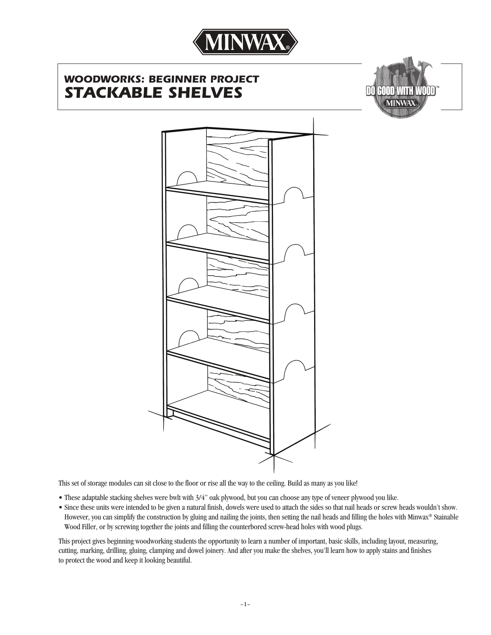

# *WOODWORKS: BEGINNER PROJECT STACKABLE SHELVES*





This set of storage modules can sit close to the floor or rise all the way to the ceiling. Build as many as you like!

- These adaptable stacking shelves were bwlt with 3/4" oak plywood, but you can choose any type of veneer plywood you like.
- Since these units were intended to be given a natural finish, dowels were used to attach the sides so that nail heads or screw heads wouldn't show. However, you can simplify the construction by gluing and nailing the joints, then setting the nail heads and filling the holes with Minwax® Stainable Wood Filler, or by screwing together the joints and filling the counterbored screw-head holes with wood plugs.

This project gives beginning woodworking students the opportunity to learn a number of important, basic skills, including layout, measuring, cutting, marking, drilling, gluing, clamping and dowel joinery. And after you make the shelves, you'll learn how to apply stains and finishes to protect the wood and keep it looking beautiful.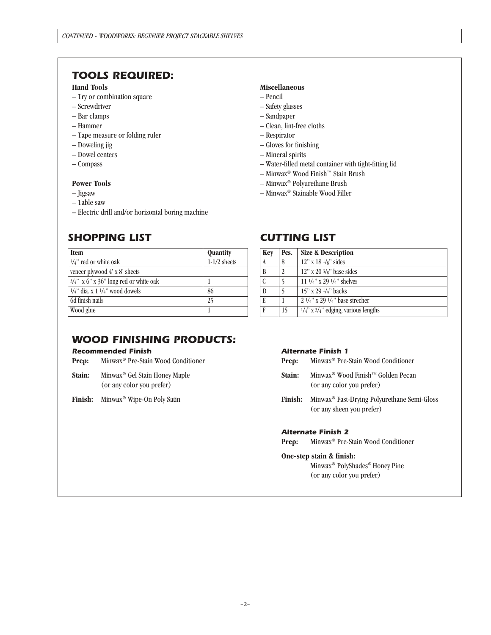## *TOOLS REQUIRED:*

### **Hand Tools**

- Try or combination square
- Screwdriver
- Bar clamps
- Hammer
- Tape measure or folding ruler
- Doweling jig
- Dowel centers
- Compass

#### **Power Tools**

- Jigsaw
- Table saw
- Electric drill and/or horizontal boring machine

# *SHOPPING LIST*

| <b>Item</b>                              | Quantity       |
|------------------------------------------|----------------|
| $3/4$ " red or white oak                 | $1-1/2$ sheets |
| veneer plywood $4' \times 8'$ sheets     |                |
| $3/4$ " x 6" x 36" long red or white oak |                |
| $1/4$ " dia. x 1 $1/4$ " wood dowels     | 86             |
| 6d finish nails                          | 25             |
| Wood glue                                |                |

## *CUTTING LIST*

– Water-filled metal container with tight-fitting lid

– Minwax® Wood Finish™ Stain Brush – Minwax® Polyurethane Brush – Minwax® Stainable Wood Filler

**Miscellaneous** – Pencil – Safety glasses – Sandpaper

– Respirator – Gloves for finishing – Mineral spirits

– Clean, lint-free cloths

| Key           | Pcs.                    | <b>Size &amp; Description</b>                             |
|---------------|-------------------------|-----------------------------------------------------------|
|               | 8                       | $12$ " x $18 \frac{1}{s}$ " sides                         |
| B             | $\overline{\mathbf{c}}$ | $12$ " x 20 $3/s$ " base sides                            |
| $\mathcal{C}$ |                         | 11 1/4" x 29 1/4" shelves                                 |
| D             |                         | 15" x 29 1/4" backs                                       |
| E             |                         | $2\frac{1}{4}$ x 29 $\frac{1}{4}$ base strecher           |
| F             | 15                      | $\frac{1}{4}$ " x $\frac{3}{4}$ " edging, various lengths |

## *WOOD FINISHING PRODUCTS:*

#### *Recommended Finish*

- **Prep:** Minwax® Pre-Stain Wood Conditioner
- **Stain:** Minwax® Gel Stain Honey Maple (or any color you prefer)

**Finish:** Minwax® Wipe-On Poly Satin

#### *Alternate Finish 1*

| Minwax <sup>®</sup> Pre-Stain Wood Conditioner<br>Prep: |  |
|---------------------------------------------------------|--|
|---------------------------------------------------------|--|

- **Stain:** Minwax® Wood Finish™ Golden Pecan (or any color you prefer)
- **Finish:** Minwax® Fast-Drying Polyurethane Semi-Gloss (or any sheen you prefer)

### *Alternate Finish 2*

**Prep:** Minwax® Pre-Stain Wood Conditioner

#### **One-step stain & finish:**

 Minwax® PolyShades® Honey Pine (or any color you prefer)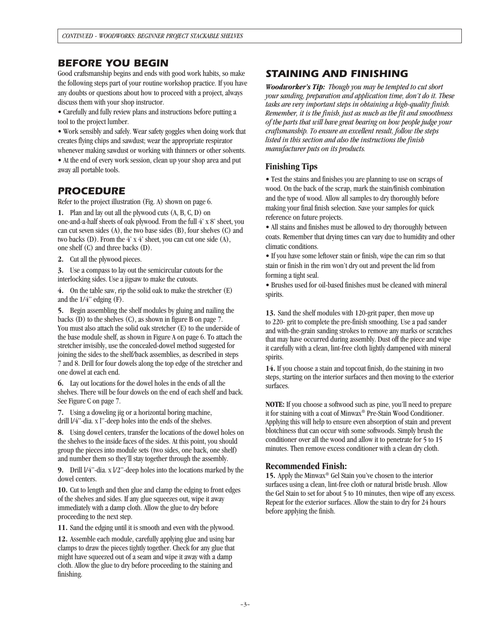## *BEFORE YOU BEGIN*

Good craftsmanship begins and ends with good work habits, so make the following steps part of your routine workshop practice. If you have any doubts or questions about how to proceed with a project, always discuss them with your shop instructor.

• Carefully and fully review plans and instructions before putting a tool to the project lumber.

• Work sensibly and safely. Wear safety goggles when doing work that creates flying chips and sawdust; wear the appropriate respirator whenever making sawdust or working with thinners or other solvents. • At the end of every work session, clean up your shop area and put

away all portable tools.

## *PROCEDURE*

Refer to the project illustration (Fig. A) shown on page 6.

**1.** Plan and lay out all the plywood cuts (A, B, C, D) on one-and-a-half sheets of oak plywood. From the full 4' x 8' sheet, you can cut seven sides (A), the two base sides (B), four shelves (C) and two backs (D). From the  $4'$  x  $4'$  sheet, you can cut one side (A), one shelf (C) and three backs (D).

**2.** Cut all the plywood pieces.

**3.** Use a compass to lay out the semicircular cutouts for the interlocking sides. Use a jigsaw to make the cutouts.

**4.** On the table saw, rip the solid oak to make the stretcher (E) and the 1/4" edging (F).

**5.** Begin assembling the shelf modules by gluing and nailing the backs (D) to the shelves (C), as shown in figure B on page 7. You must also attach the solid oak stretcher (E) to the underside of the base module shelf, as shown in Figure A on page 6. To attach the stretcher invisibly, use the concealed-dowel method suggested for joining the sides to the shelf/back assemblies, as described in steps 7 and 8. Drill for four dowels along the top edge of the stretcher and one dowel at each end.

**6.** Lay out locations for the dowel holes in the ends of all the shelves. There will be four dowels on the end of each shelf and back. See Figure C on page 7.

**7.** Using a doweling jig or a horizontal boring machine, drill l/4"-dia. x l"-deep holes into the ends of the shelves.

**8.** Using dowel centers, transfer the locations of the dowel holes on the shelves to the inside faces of the sides. At this point, you should group the pieces into module sets (two sides, one back, one shelf) and number them so they'll stay together through the assembly.

**9.** Drill l/4"-dia. x l/2"-deep holes into the locations marked by the dowel centers.

**10.** Cut to length and then glue and clamp the edging to front edges of the shelves and sides. If any glue squeezes out, wipe it away immediately with a damp cloth. Allow the glue to dry before proceeding to the next step.

**11.** Sand the edging until it is smooth and even with the plywood.

**12.** Assemble each module, carefully applying glue and using bar clamps to draw the pieces tightly together. Check for any glue that might have squeezed out of a seam and wipe it away with a damp cloth. Allow the glue to dry before proceeding to the staining and finishing.

# *STAINING AND FINISHING*

*Woodworker's Tip: Though you may be tempted to cut short your sanding, preparation and application time, don't do it. These tasks are very important steps in obtaining a high-quality finish. Remember, it is the finish, just as much as the fit and smoothness of the parts that will have great bearing on how people judge your craftsmanship. To ensure an excellent result, follow the steps listed in this section and also the instructions the finish manufacturer puts on its products.*

### **Finishing Tips**

• Test the stains and finishes you are planning to use on scraps of wood. On the back of the scrap, mark the stain/finish combination and the type of wood. Allow all samples to dry thoroughly before making your final finish selection. Save your samples for quick reference on future projects.

• All stains and finishes must be allowed to dry thoroughly between coats. Remember that drying times can vary due to humidity and other climatic conditions.

• If you have some leftover stain or finish, wipe the can rim so that stain or finish in the rim won't dry out and prevent the lid from forming a tight seal.

• Brushes used for oil-based finishes must be cleaned with mineral spirits.

**13.** Sand the shelf modules with 120-grit paper, then move up to 220- grit to complete the pre-finish smoothing. Use a pad sander and with-the-grain sanding strokes to remove any marks or scratches that may have occurred during assembly. Dust off the piece and wipe it carefully with a clean, lint-free cloth lightly dampened with mineral spirits.

**14.** If you choose a stain and topcoat finish, do the staining in two steps, starting on the interior surfaces and then moving to the exterior surfaces.

**NOTE:** If you choose a softwood such as pine, you'll need to prepare it for staining with a coat of Minwax® Pre-Stain Wood Conditioner. Applying this will help to ensure even absorption of stain and prevent blotchiness that can occur with some softwoods. Simply brush the conditioner over all the wood and allow it to penetrate for 5 to 15 minutes. Then remove excess conditioner with a clean dry cloth.

### **Recommended Finish:**

**15.** Apply the Minwax® Gel Stain you've chosen to the interior surfaces using a clean, lint-free cloth or natural bristle brush. Allow the Gel Stain to set for about 5 to 10 minutes, then wipe off any excess. Repeat for the exterior surfaces. Allow the stain to dry for 24 hours before applying the finish.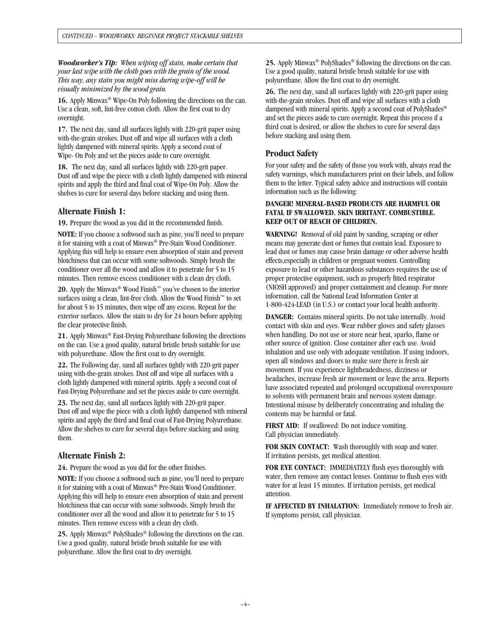*Woodworker's Tip: When wiping off stain, make certain that your last wipe with the cloth goes with the grain of the wood. This way, any stain you might miss during wipe-off will be visually minimized by the wood grain.*

**16.** Apply Minwax® Wipe-On Poly following the directions on the can. Use a clean, soft, lint-free cotton cloth. Allow the first coat to dry overnight.

**17.** The next day, sand all surfaces lightly with 220-grit paper using with-the-grain strokes. Dust off and wipe all surfaces with a cloth lightly dampened with mineral spirits. Apply a second coat of Wipe- On Poly and set the pieces aside to cure overnight.

**18.** The next day, sand all surfaces lightly with 220-grit paper. Dust off and wipe the piece with a cloth lightly dampened with mineral spirits and apply the third and final coat of Wipe-On Poly. Allow the shelves to cure for several days before stacking and using them.

### **Alternate Finish 1:**

**19.** Prepare the wood as you did in the recommended finish.

**NOTE:** If you choose a softwood such as pine, you'll need to prepare it for staining with a coat of Minwax® Pre-Stain Wood Conditioner. Applying this will help to ensure even absorption of stain and prevent blotchiness that can occur with some softwoods. Simply brush the conditioner over all the wood and allow it to penetrate for 5 to 15 minutes. Then remove excess conditioner with a clean dry cloth.

**20.** Apply the Minwax® Wood Finish™ you've chosen to the interior surfaces using a clean, lint-free cloth. Allow the Wood Finish™ to set for about 5 to 15 minutes, then wipe off any excess. Repeat for the exterior surfaces. Allow the stain to dry for 24 hours before applying the clear protective finish.

**21.** Apply Minwax® Fast-Drying Polyurethane following the directions on the can. Use a good quality, natural bristle brush suitable for use with polyurethane. Allow the first coat to dry overnight.

**22.** The Following day, sand all surfaces tightly with 220-grit paper using with-the-grain strokes. Dust off and wipe all surfaces with a cloth lightly dampened with mineral spirits. Apply a second coat of Fast-Drying Polyurethane and set the pieces aside to cure overnight.

**23.** The next day, sand all surfaces lightly with 220-grit paper. Dust off and wipe the piece with a cloth lightly dampened with mineral spirits and apply the third and final coat of Fast-Drying Polyurethane. Allow the shelves to cure for several days before stacking and using them.

### **Alternate Finish 2:**

**24.** Prepare the wood as you did for the other finishes.

**NOTE:** If you choose a softwood such as pine, you'll need to prepare it for staining with a coat of Minwax® Pre-Stain Wood Conditioner. Applying this will help to ensure even absorption of stain and prevent blotchiness that can occur with some softwoods. Simply brush the conditioner over all the wood and allow it to penetrate for 5 to 15 minutes. Then remove excess with a clean dry cloth.

**25.** Apply Minwax® PolyShades® following the directions on the can. Use a good quality, natural bristle brush suitable for use with polyurethane. Allow the first coat to dry overnight.

**25.** Apply Minwax® PolyShades® following the directions on the can. Use a good quality, natural bristle brush suitable for use with polyurethane. Allow the first coat to dry overnight.

**26.** The next day, sand all surfaces lightly with 220-grit paper using with-the-grain strokes. Dust off and wipe all surfaces with a cloth dampened with mineral spirits. Apply a second coat of PolyShades® and set the pieces aside to cure overnight. Repeat this process if a third coat is desired, or allow the shelves to cure for several days before stacking and using them.

## **Product Safety**

For your safety and the safety of those you work with, always read the safety warnings, which manufacturers print on their labels, and follow them to the letter. Typical safety advice and instructions will contain information such as the following:

### **DANGER! MINERAL-BASED PRODUCTS ARE HARMFUL OR FATAL IF SWALLOWED. SKIN IRRITANT. COMBUSTIBLE. KEEP OUT OF REACH OF CHILDREN.**

**WARNING!** Removal of old paint by sanding, scraping or other means may generate dust or fumes that contain lead. Exposure to lead dust or fumes may cause brain damage or other adverse health effects,especially in children or pregnant women. Controlling exposure to lead or other hazardous substances requires the use of proper protective equipment, such as properly fitted respirator (NIOSH approved) and proper containment and cleanup. For more information, call the National Lead Information Center at 1-800-424-LEAD (in U.S.) or contact your local health authority.

**DANGER:** Contains mineral spirits. Do not take internally. Avoid contact with skin and eyes. Wear rubber gloves and safety glasses when handling. Do not use or store near heat, sparks, flame or other source of ignition. Close container after each use. Avoid inhalation and use only with adequate ventilation. If using indoors, open all windows and doors to make sure there is fresh air movement. If you experience lightheadedness, dizziness or headaches, increase fresh air movement or leave the area. Reports have associated repeated and prolonged occupational overexposure to solvents with permanent brain and nervous system damage. Intentional misuse by deliberately concentrating and inhaling the contents may be harmful or fatal.

**FIRST AID:** If swallowed: Do not induce vomiting. Call physician immediately.

**FOR SKIN CONTACT:** Wash thoroughly with soap and water. If irritation persists, get medical attention.

**FOR EYE CONTACT:** IMMEDIATELY flush eyes thoroughly with water, then remove any contact lenses. Continue to flush eyes with water for at least 15 minutes. If irritation persists, get medical attention.

**IF AFFECTED BY INHALATION:** Immediately remove to fresh air. If symptoms persist, call physician.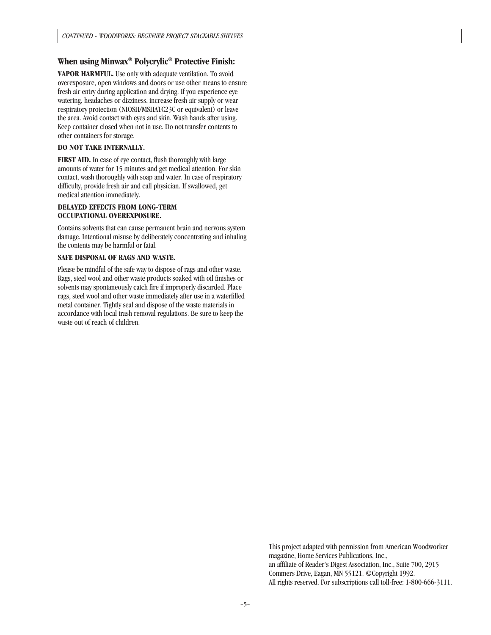### **When using Minwax® Polycrylic® Protective Finish:**

**VAPOR HARMFUL.** Use only with adequate ventilation. To avoid overexposure, open windows and doors or use other means to ensure fresh air entry during application and drying. If you experience eye watering, headaches or dizziness, increase fresh air supply or wear respiratory protection (NIOSH/MSHATC23C or equivalent) or leave the area. Avoid contact with eyes and skin. Wash hands after using. Keep container closed when not in use. Do not transfer contents to other containers for storage.

#### **DO NOT TAKE INTERNALLY.**

**FIRST AID.** In case of eye contact, flush thoroughly with large amounts of water for 15 minutes and get medical attention. For skin contact, wash thoroughly with soap and water. In case of respiratory difficulty, provide fresh air and call physician. If swallowed, get medical attention immediately.

#### **DELAYED EFFECTS FROM LONG-TERM OCCUPATIONAL OVEREXPOSURE.**

Contains solvents that can cause permanent brain and nervous system damage. Intentional misuse by deliberately concentrating and inhaling the contents may be harmful or fatal.

#### **SAFE DISPOSAL OF RAGS AND WASTE.**

Please be mindful of the safe way to dispose of rags and other waste. Rags, steel wool and other waste products soaked with oil finishes or solvents may spontaneously catch fire if improperly discarded. Place rags, steel wool and other waste immediately after use in a waterfilled metal container. Tightly seal and dispose of the waste materials in accordance with local trash removal regulations. Be sure to keep the waste out of reach of children.

> This project adapted with permission from American Woodworker magazine, Home Services Publications, Inc., an affiliate of Reader's Digest Association, Inc., Suite 700, 2915 Commers Drive, Eagan, MN 55121. ©Copyright 1992. All rights reserved. For subscriptions call toll-free: 1-800-666-3111.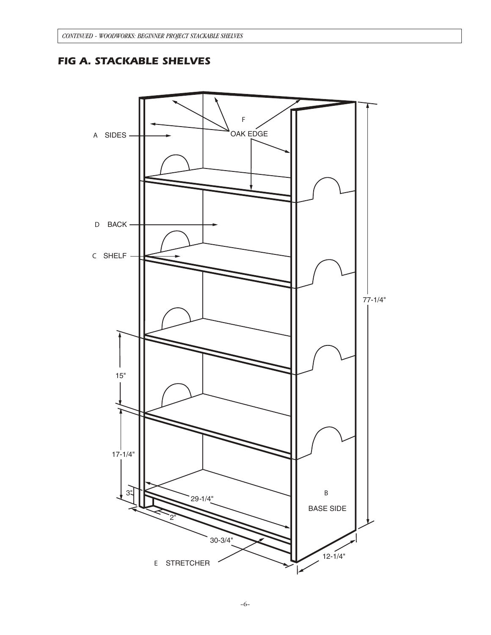# *FIG A. STACKABLE SHELVES*